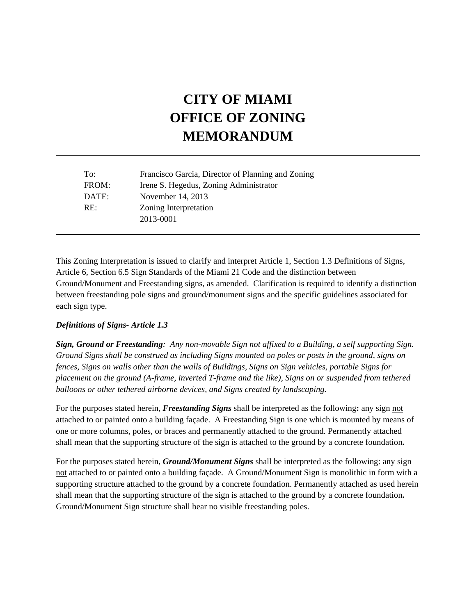# **CITY OF MIAMI OFFICE OF ZONING MEMORANDUM**

| To:   | Francisco Garcia, Director of Planning and Zoning |
|-------|---------------------------------------------------|
| FROM: | Irene S. Hegedus, Zoning Administrator            |
| DATE: | November 14, 2013                                 |
| RE:   | Zoning Interpretation                             |
|       | 2013-0001                                         |

This Zoning Interpretation is issued to clarify and interpret Article 1, Section 1.3 Definitions of Signs, Article 6, Section 6.5 Sign Standards of the Miami 21 Code and the distinction between Ground/Monument and Freestanding signs, as amended. Clarification is required to identify a distinction between freestanding pole signs and ground/monument signs and the specific guidelines associated for each sign type.

#### *Definitions of Signs- Article 1.3*

*Sign, Ground or Freestanding: Any non-movable Sign not affixed to a Building, a self supporting Sign. Ground Signs shall be construed as including Signs mounted on poles or posts in the ground, signs on fences, Signs on walls other than the walls of Buildings, Signs on Sign vehicles, portable Signs for placement on the ground (A-frame, inverted T-frame and the like), Signs on or suspended from tethered balloons or other tethered airborne devices, and Signs created by landscaping.* 

For the purposes stated herein, *Freestanding Signs* shall be interpreted as the following**:** any sign not attached to or painted onto a building façade. A Freestanding Sign is one which is mounted by means of one or more columns, poles, or braces and permanently attached to the ground. Permanently attached shall mean that the supporting structure of the sign is attached to the ground by a concrete foundation**.** 

For the purposes stated herein, *Ground/Monument Signs* shall be interpreted as the following: any sign not attached to or painted onto a building façade. A Ground/Monument Sign is monolithic in form with a supporting structure attached to the ground by a concrete foundation. Permanently attached as used herein shall mean that the supporting structure of the sign is attached to the ground by a concrete foundation**.**  Ground/Monument Sign structure shall bear no visible freestanding poles.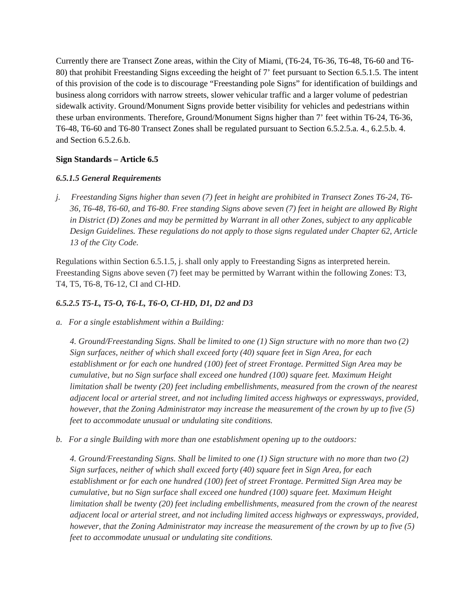Currently there are Transect Zone areas, within the City of Miami, (T6-24, T6-36, T6-48, T6-60 and T6- 80) that prohibit Freestanding Signs exceeding the height of 7' feet pursuant to Section 6.5.1.5. The intent of this provision of the code is to discourage "Freestanding pole Signs" for identification of buildings and business along corridors with narrow streets, slower vehicular traffic and a larger volume of pedestrian sidewalk activity. Ground/Monument Signs provide better visibility for vehicles and pedestrians within these urban environments. Therefore, Ground/Monument Signs higher than 7' feet within T6-24, T6-36, T6-48, T6-60 and T6-80 Transect Zones shall be regulated pursuant to Section 6.5.2.5.a. 4., 6.2.5.b. 4. and Section 6.5.2.6.b.

### **Sign Standards – Article 6.5**

### *6.5.1.5 General Requirements*

*j. Freestanding Signs higher than seven (7) feet in height are prohibited in Transect Zones T6-24, T6- 36, T6-48, T6-60, and T6-80. Free standing Signs above seven (7) feet in height are allowed By Right in District (D) Zones and may be permitted by Warrant in all other Zones, subject to any applicable Design Guidelines. These regulations do not apply to those signs regulated under Chapter 62, Article 13 of the City Code.* 

Regulations within Section 6.5.1.5, j. shall only apply to Freestanding Signs as interpreted herein. Freestanding Signs above seven (7) feet may be permitted by Warrant within the following Zones: T3, T4, T5, T6-8, T6-12, CI and CI-HD.

## *6.5.2.5 T5-L, T5-O, T6-L, T6-O, CI-HD, D1, D2 and D3*

*a. For a single establishment within a Building:* 

*4. Ground/Freestanding Signs. Shall be limited to one (1) Sign structure with no more than two (2) Sign surfaces, neither of which shall exceed forty (40) square feet in Sign Area, for each establishment or for each one hundred (100) feet of street Frontage. Permitted Sign Area may be cumulative, but no Sign surface shall exceed one hundred (100) square feet. Maximum Height limitation shall be twenty (20) feet including embellishments, measured from the crown of the nearest adjacent local or arterial street, and not including limited access highways or expressways, provided, however, that the Zoning Administrator may increase the measurement of the crown by up to five (5) feet to accommodate unusual or undulating site conditions.* 

*b. For a single Building with more than one establishment opening up to the outdoors:* 

*4. Ground/Freestanding Signs. Shall be limited to one (1) Sign structure with no more than two (2) Sign surfaces, neither of which shall exceed forty (40) square feet in Sign Area, for each establishment or for each one hundred (100) feet of street Frontage. Permitted Sign Area may be cumulative, but no Sign surface shall exceed one hundred (100) square feet. Maximum Height limitation shall be twenty (20) feet including embellishments, measured from the crown of the nearest adjacent local or arterial street, and not including limited access highways or expressways, provided, however, that the Zoning Administrator may increase the measurement of the crown by up to five (5) feet to accommodate unusual or undulating site conditions.*